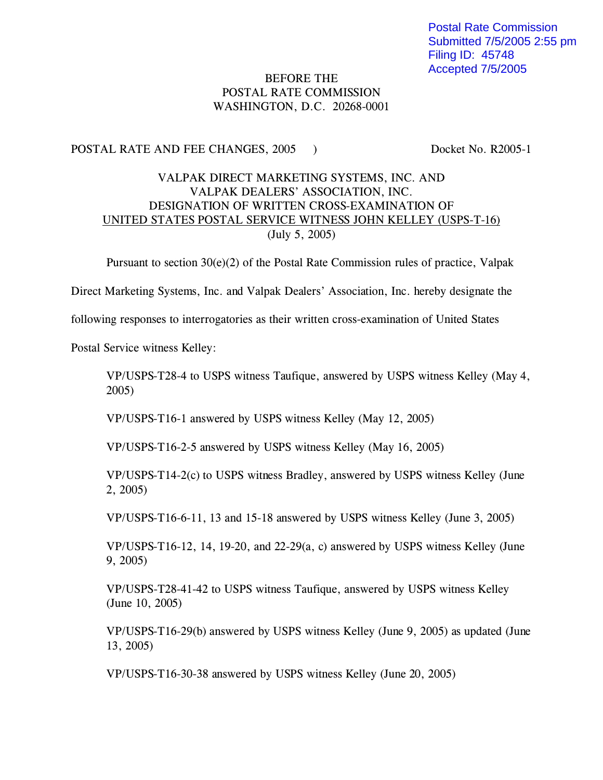## BEFORE THE POSTAL RATE COMMISSION WASHINGTON, D.C. 20268-0001

## POSTAL RATE AND FEE CHANGES, 2005 ) Docket No. R2005-1

## VALPAK DIRECT MARKETING SYSTEMS, INC. AND VALPAK DEALERS' ASSOCIATION, INC. DESIGNATION OF WRITTEN CROSS-EXAMINATION OF UNITED STATES POSTAL SERVICE WITNESS JOHN KELLEY (USPS-T-16) (July 5, 2005)

Pursuant to section  $30(e)(2)$  of the Postal Rate Commission rules of practice, Valpak

Direct Marketing Systems, Inc. and Valpak Dealers' Association, Inc. hereby designate the

following responses to interrogatories as their written cross-examination of United States

Postal Service witness Kelley:

VP/USPS-T28-4 to USPS witness Taufique, answered by USPS witness Kelley (May 4, 2005)

VP/USPS-T16-1 answered by USPS witness Kelley (May 12, 2005)

VP/USPS-T16-2-5 answered by USPS witness Kelley (May 16, 2005)

VP/USPS-T14-2(c) to USPS witness Bradley, answered by USPS witness Kelley (June 2, 2005)

VP/USPS-T16-6-11, 13 and 15-18 answered by USPS witness Kelley (June 3, 2005)

VP/USPS-T16-12, 14, 19-20, and 22-29(a, c) answered by USPS witness Kelley (June 9, 2005)

VP/USPS-T28-41-42 to USPS witness Taufique, answered by USPS witness Kelley (June 10, 2005)

VP/USPS-T16-29(b) answered by USPS witness Kelley (June 9, 2005) as updated (June 13, 2005)

VP/USPS-T16-30-38 answered by USPS witness Kelley (June 20, 2005)